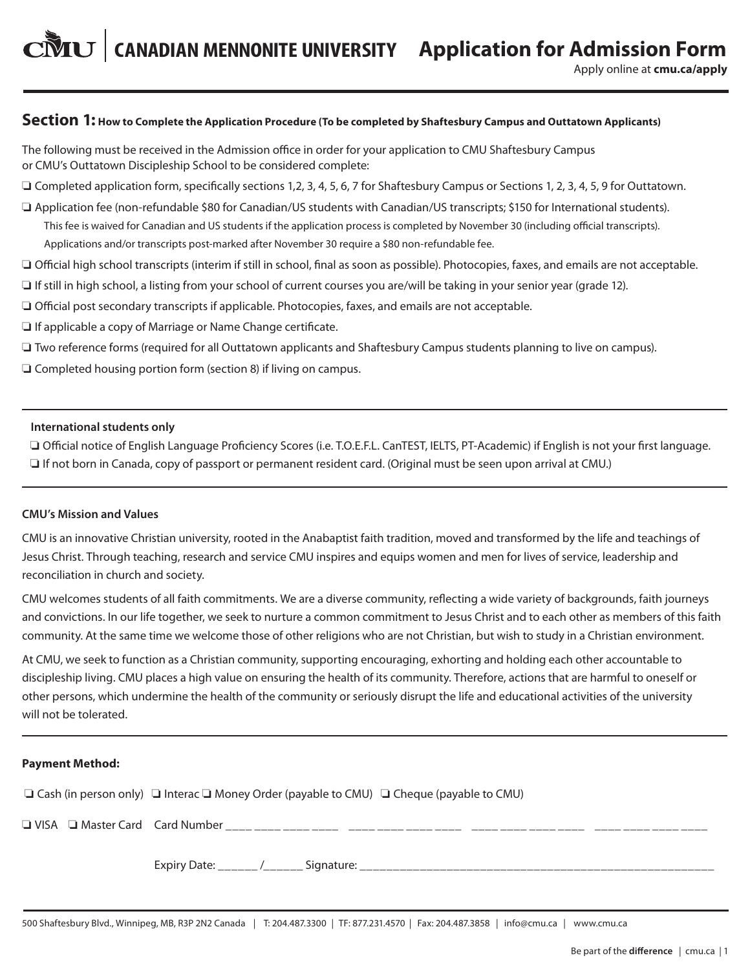Apply online at **cmu.ca/apply**

# **Section 1: How to Complete the Application Procedure (To be completed by Shaftesbury Campus and Outtatown Applicants)**

The following must be received in the Admission office in order for your application to CMU Shaftesbury Campus or CMU's Outtatown Discipleship School to be considered complete:

 $\Box$  Completed application form, specifically sections 1,2, 3, 4, 5, 6, 7 for Shaftesbury Campus or Sections 1, 2, 3, 4, 5, 9 for Outtatown.

 $\Box$  Application fee (non-refundable \$80 for Canadian/US students with Canadian/US transcripts; \$150 for International students). This fee is waived for Canadian and US students if the application process is completed by November 30 (including official transcripts). Applications and/or transcripts post-marked after November 30 require a \$80 non-refundable fee.

□ Official high school transcripts (interim if still in school, final as soon as possible). Photocopies, faxes, and emails are not acceptable.

- $\Box$  If still in high school, a listing from your school of current courses you are/will be taking in your senior year (grade 12).
- $\Box$  Official post secondary transcripts if applicable. Photocopies, faxes, and emails are not acceptable.
- $\Box$  If applicable a copy of Marriage or Name Change certificate.
- $\Box$  Two reference forms (required for all Outtatown applicants and Shaftesbury Campus students planning to live on campus).

 $\Box$  Completed housing portion form (section 8) if living on campus.

#### **International students only**

 o Official notice of English Language Proficiency Scores (i.e. T.O.E.F.L. CanTEST, IELTS, PT-Academic) if English is not your first language.  $\Box$  If not born in Canada, copy of passport or permanent resident card. (Original must be seen upon arrival at CMU.)

#### **CMU's Mission and Values**

CMU is an innovative Christian university, rooted in the Anabaptist faith tradition, moved and transformed by the life and teachings of Jesus Christ. Through teaching, research and service CMU inspires and equips women and men for lives of service, leadership and reconciliation in church and society.

CMU welcomes students of all faith commitments. We are a diverse community, reflecting a wide variety of backgrounds, faith journeys and convictions. In our life together, we seek to nurture a common commitment to Jesus Christ and to each other as members of this faith community. At the same time we welcome those of other religions who are not Christian, but wish to study in a Christian environment.

At CMU, we seek to function as a Christian community, supporting encouraging, exhorting and holding each other accountable to discipleship living. CMU places a high value on ensuring the health of its community. Therefore, actions that are harmful to oneself or other persons, which undermine the health of the community or seriously disrupt the life and educational activities of the university will not be tolerated.

#### **Payment Method:**

 $\Box$  Cash (in person only)  $\Box$  Interac  $\Box$  Money Order (payable to CMU)  $\Box$  Cheque (payable to CMU)

o VISA o Master Card Card Number \_\_\_\_ \_\_\_\_ \_\_\_\_ \_\_\_\_ \_\_\_\_ \_\_\_\_ \_\_\_\_ \_\_\_\_ \_\_\_\_ \_\_\_\_ \_\_\_\_ \_\_\_\_ \_\_\_\_ \_\_\_\_ \_\_\_\_ \_\_\_\_

Expiry Date: The Material of the Signature:  $\sim$  / Signature: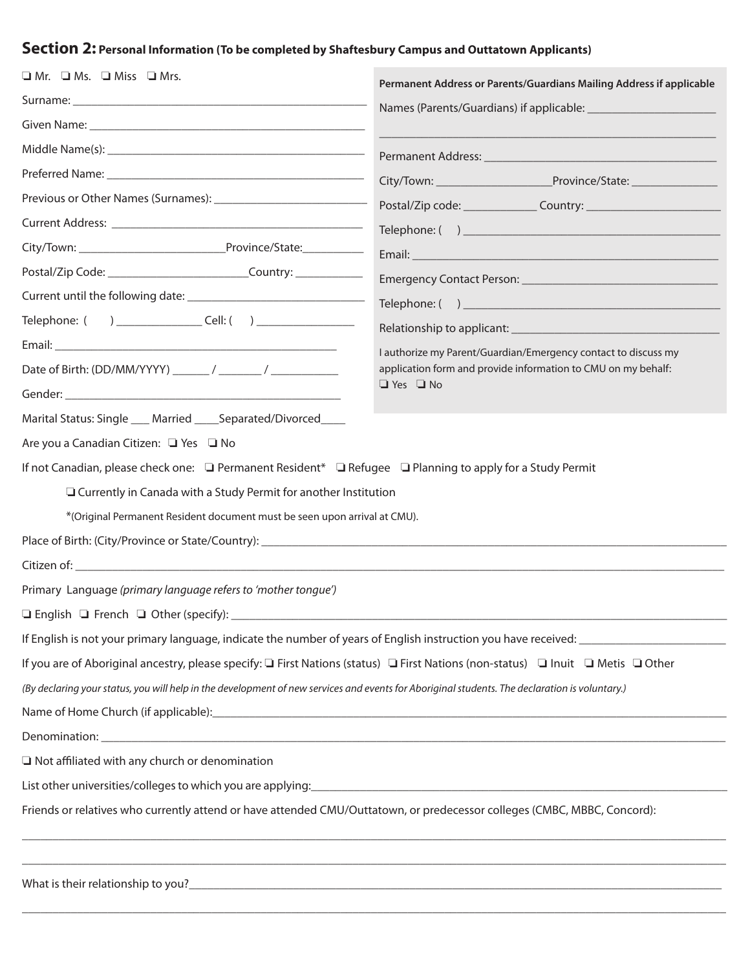# **Section 2: Personal Information (To be completed by Shaftesbury Campus and Outtatown Applicants)**

| $\Box$ Mr. $\Box$ Ms. $\Box$ Miss $\Box$ Mrs.                                                                                                  | Permanent Address or Parents/Guardians Mailing Address if applicable                                                                    |
|------------------------------------------------------------------------------------------------------------------------------------------------|-----------------------------------------------------------------------------------------------------------------------------------------|
|                                                                                                                                                |                                                                                                                                         |
|                                                                                                                                                |                                                                                                                                         |
|                                                                                                                                                |                                                                                                                                         |
|                                                                                                                                                |                                                                                                                                         |
|                                                                                                                                                |                                                                                                                                         |
|                                                                                                                                                |                                                                                                                                         |
|                                                                                                                                                | Email: <u>Alexander and Alexander and Alexander and Alexander and Alexander and Alexander and Alexander and Alex</u>                    |
| Postal/Zip Code: ________________________________Country: ______________________                                                               |                                                                                                                                         |
|                                                                                                                                                |                                                                                                                                         |
| Telephone: ( ) ________________________________Cell: ( ) _______________________                                                               |                                                                                                                                         |
|                                                                                                                                                | I authorize my Parent/Guardian/Emergency contact to discuss my                                                                          |
|                                                                                                                                                | application form and provide information to CMU on my behalf:                                                                           |
|                                                                                                                                                | $\Box$ Yes $\Box$ No                                                                                                                    |
| Marital Status: Single ___ Married ____ Separated/Divorced ___                                                                                 |                                                                                                                                         |
| Are you a Canadian Citizen: □ Yes □ No                                                                                                         |                                                                                                                                         |
| If not Canadian, please check one: □ Permanent Resident* □ Refugee □ Planning to apply for a Study Permit                                      |                                                                                                                                         |
| □ Currently in Canada with a Study Permit for another Institution                                                                              |                                                                                                                                         |
| *(Original Permanent Resident document must be seen upon arrival at CMU).                                                                      |                                                                                                                                         |
|                                                                                                                                                |                                                                                                                                         |
|                                                                                                                                                |                                                                                                                                         |
| Primary Language (primary language refers to 'mother tongue')                                                                                  |                                                                                                                                         |
| $\Box$ English $\Box$ French $\Box$ Other (specify):                                                                                           |                                                                                                                                         |
|                                                                                                                                                | If English is not your primary language, indicate the number of years of English instruction you have received: _______________________ |
| If you are of Aboriginal ancestry, please specify: □ First Nations (status) □ First Nations (non-status) □ Inuit □ Metis □ Other               |                                                                                                                                         |
| (By declaring your status, you will help in the development of new services and events for Aboriginal students. The declaration is voluntary.) |                                                                                                                                         |
|                                                                                                                                                |                                                                                                                                         |
|                                                                                                                                                |                                                                                                                                         |
| $\Box$ Not affiliated with any church or denomination                                                                                          |                                                                                                                                         |
|                                                                                                                                                |                                                                                                                                         |
| Friends or relatives who currently attend or have attended CMU/Outtatown, or predecessor colleges (CMBC, MBBC, Concord):                       |                                                                                                                                         |
|                                                                                                                                                |                                                                                                                                         |

\_\_\_\_\_\_\_\_\_\_\_\_\_\_\_\_\_\_\_\_\_\_\_\_\_\_\_\_\_\_\_\_\_\_\_\_\_\_\_\_\_\_\_\_\_\_\_\_\_\_\_\_\_\_\_\_\_\_\_\_\_\_\_\_\_\_\_\_\_\_\_\_\_\_\_\_\_\_\_\_\_\_\_\_\_\_\_\_\_\_\_\_\_\_\_\_\_\_\_\_\_\_\_\_\_\_\_\_\_\_\_\_\_\_\_

What is their relationship to you?\_\_\_\_\_\_\_\_\_\_\_\_\_\_\_\_\_\_\_\_\_\_\_\_\_\_\_\_\_\_\_\_\_\_\_\_\_\_\_\_\_\_\_\_\_\_\_\_\_\_\_\_\_\_\_\_\_\_\_\_\_\_\_\_\_\_\_\_\_\_\_\_\_\_\_\_\_\_\_\_\_\_\_\_\_\_\_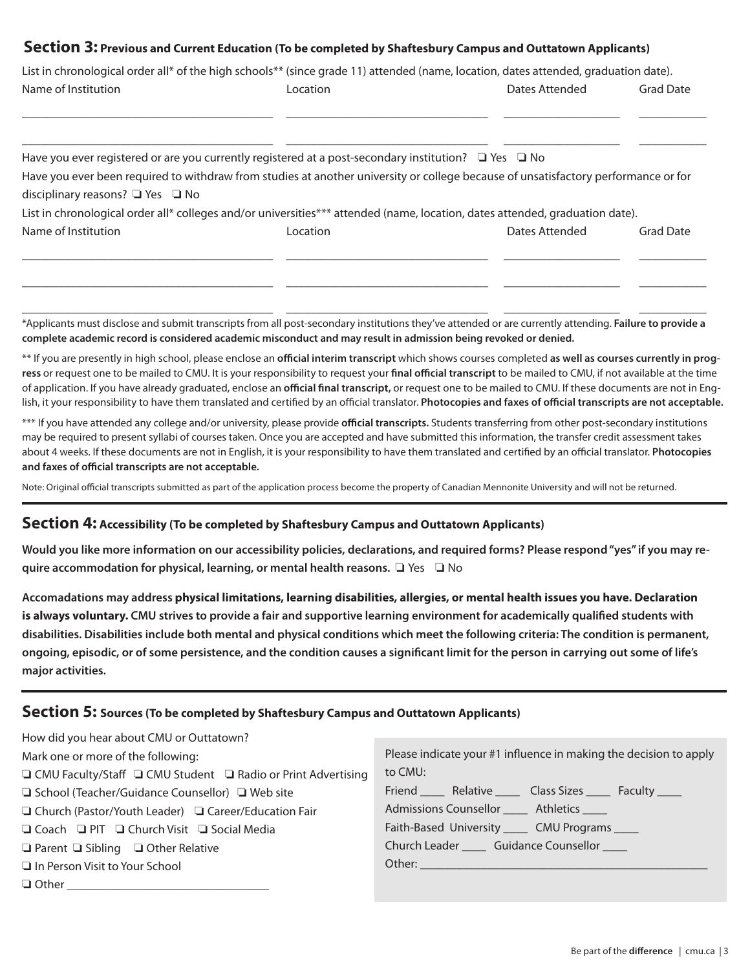## **Section 3: Previous and Current Education (To be completed by Shaftesbury Campus and Outtatown Applicants)**

| Name of Institution                        | Location                                                                                                                           | Dates Attended | <b>Grad Date</b> |
|--------------------------------------------|------------------------------------------------------------------------------------------------------------------------------------|----------------|------------------|
|                                            |                                                                                                                                    |                |                  |
|                                            | Have you ever registered or are you currently registered at a post-secondary institution? $\Box$ Yes $\Box$ No                     |                |                  |
|                                            | Have you ever been required to withdraw from studies at another university or college because of unsatisfactory performance or for |                |                  |
|                                            |                                                                                                                                    |                |                  |
| disciplinary reasons? $\Box$ Yes $\Box$ No | List in chronological order all* colleges and/or universities*** attended (name, location, dates attended, graduation date).       |                |                  |

\_\_\_\_\_\_\_\_\_\_\_\_\_\_\_\_\_\_\_\_\_\_\_\_\_\_\_\_\_\_\_\_\_\_\_\_\_\_\_\_\_ \_\_\_\_\_\_\_\_\_\_\_\_\_\_\_\_\_\_\_\_\_\_\_\_\_\_\_\_\_\_\_\_\_ \_\_\_\_\_\_\_\_\_\_\_\_\_\_\_\_\_\_\_ \_\_\_\_\_\_\_\_\_\_\_ \*Applicants must disclose and submit transcripts from all post-secondary institutions they've attended or are currently attending. **Failure to provide a complete academic record is considered academic misconduct and may result in admission being revoked or denied.** 

\_\_\_\_\_\_\_\_\_\_\_\_\_\_\_\_\_\_\_\_\_\_\_\_\_\_\_\_\_\_\_\_\_\_\_\_\_\_\_\_\_ \_\_\_\_\_\_\_\_\_\_\_\_\_\_\_\_\_\_\_\_\_\_\_\_\_\_\_\_\_\_\_\_\_ \_\_\_\_\_\_\_\_\_\_\_\_\_\_\_\_\_\_\_ \_\_\_\_\_\_\_\_\_\_\_

\*\* If you are presently in high school, please enclose an **official interim transcript** which shows courses completed **as well as courses currently in progress** or request one to be mailed to CMU. It is your responsibility to request your **final official transcript** to be mailed to CMU, if not available at the time of application. If you have already graduated, enclose an **official final transcript,** or request one to be mailed to CMU. If these documents are not in English, it your responsibility to have them translated and certified by an official translator. **Photocopies and faxes of official transcripts are not acceptable.**

\*\*\* If you have attended any college and/or university, please provide **official transcripts.** Students transferring from other post-secondary institutions may be required to present syllabi of courses taken. Once you are accepted and have submitted this information, the transfer credit assessment takes about 4 weeks. If these documents are not in English, it is your responsibility to have them translated and certified by an official translator. **Photocopies and faxes of official transcripts are not acceptable.**

Note: Original official transcripts submitted as part of the application process become the property of Canadian Mennonite University and will not be returned.

# **Section 4: Accessibility (To be completed by Shaftesbury Campus and Outtatown Applicants)**

**Would you like more information on our accessibility policies, declarations, and required forms? Please respond "yes" if you may require accommodation for physical, learning, or mental health reasons.**  $\Box$  Yes  $\Box$  No

**Accomadations may address physical limitations, learning disabilities, allergies, or mental health issues you have. Declaration is always voluntary. CMU strives to provide a fair and supportive learning environment for academically qualified students with disabilities. Disabilities include both mental and physical conditions which meet the following criteria: The condition is permanent, ongoing, episodic, or of some persistence, and the condition causes a significant limit for the person in carrying out some of life's major activities.**

# **Section 5: Sources (To be completed by Shaftesbury Campus and Outtatown Applicants)**

| How did you hear about CMU or Outtatown?                                      |                                                                   |
|-------------------------------------------------------------------------------|-------------------------------------------------------------------|
|                                                                               |                                                                   |
| Mark one or more of the following:                                            | Please indicate your #1 influence in making the decision to apply |
| $\Box$ CMU Faculty/Staff $\Box$ CMU Student $\Box$ Radio or Print Advertising | to CMU:                                                           |
| □ School (Teacher/Guidance Counsellor) □ Web site                             | Friend _______ Relative _______ Class Sizes ______ Faculty _____  |
| □ Church (Pastor/Youth Leader) □ Career/Education Fair                        | Admissions Counsellor ______ Athletics _____                      |
| □ Coach □ PIT □ Church Visit □ Social Media                                   | Faith-Based University ______ CMU Programs _____                  |
| $\Box$ Parent $\Box$ Sibling $\Box$ Other Relative                            | Church Leader ______ Guidance Counsellor _____                    |
| In Person Visit to Your School                                                |                                                                   |
|                                                                               |                                                                   |
|                                                                               |                                                                   |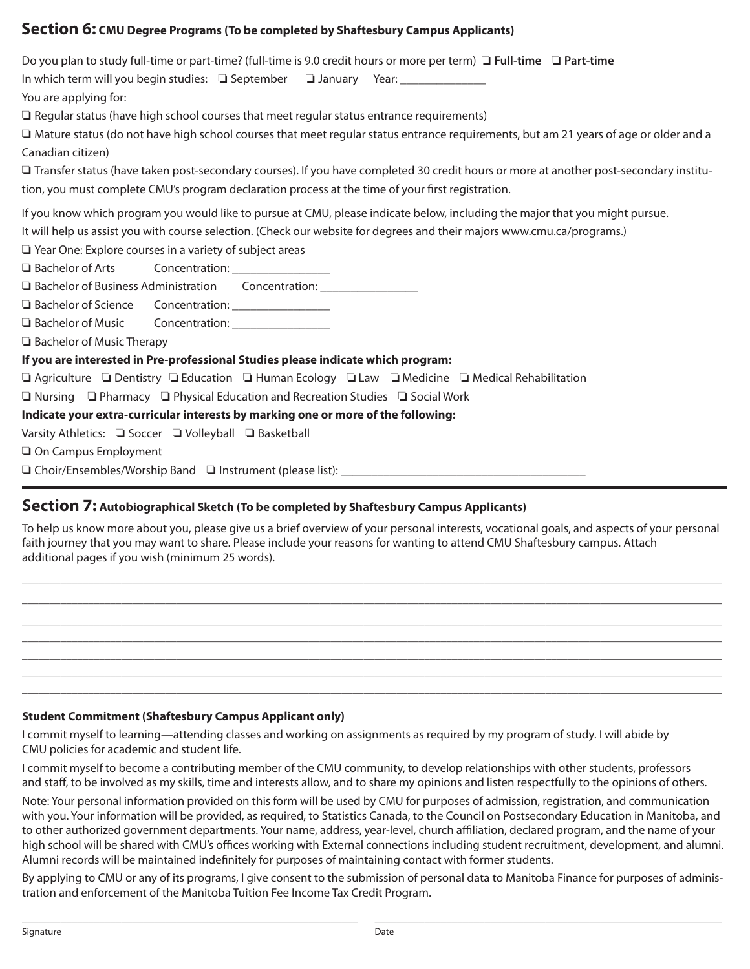# **Section 6: CMU Degree Programs (To be completed by Shaftesbury Campus Applicants)**

| Do you plan to study full-time or part-time? (full-time is 9.0 credit hours or more per term) $\Box$ Full-time $\Box$ Part-time         |
|-----------------------------------------------------------------------------------------------------------------------------------------|
| In which term will you begin studies: □ September □ January Year: ______________                                                        |
| You are applying for:                                                                                                                   |
| $\Box$ Regular status (have high school courses that meet regular status entrance requirements)                                         |
| □ Mature status (do not have high school courses that meet regular status entrance requirements, but am 21 years of age or older and a  |
| Canadian citizen)                                                                                                                       |
| □ Transfer status (have taken post-secondary courses). If you have completed 30 credit hours or more at another post-secondary institu- |
| tion, you must complete CMU's program declaration process at the time of your first registration.                                       |
| If you know which program you would like to pursue at CMU, please indicate below, including the major that you might pursue.            |
| It will help us assist you with course selection. (Check our website for degrees and their majors www.cmu.ca/programs.)                 |
| $\Box$ Year One: Explore courses in a variety of subject areas                                                                          |
| $\Box$ Bachelor of Arts<br>Concentration: ________________                                                                              |
|                                                                                                                                         |
|                                                                                                                                         |
| □ Bachelor of Music Concentration: ________________                                                                                     |
| Bachelor of Music Therapy                                                                                                               |
| If you are interested in Pre-professional Studies please indicate which program:                                                        |
| $\Box$ Agriculture $\Box$ Dentistry $\Box$ Education $\Box$ Human Ecology $\Box$ Law $\Box$ Medicine $\Box$ Medical Rehabilitation      |
| $\Box$ Nursing $\Box$ Pharmacy $\Box$ Physical Education and Recreation Studies $\Box$ Social Work                                      |
| Indicate your extra-curricular interests by marking one or more of the following:                                                       |
| Varsity Athletics: □ Soccer □ Volleyball □ Basketball                                                                                   |
| On Campus Employment                                                                                                                    |
|                                                                                                                                         |

# **Section 7: Autobiographical Sketch (To be completed by Shaftesbury Campus Applicants)**

To help us know more about you, please give us a brief overview of your personal interests, vocational goals, and aspects of your personal faith journey that you may want to share. Please include your reasons for wanting to attend CMU Shaftesbury campus. Attach additional pages if you wish (minimum 25 words).

\_\_\_\_\_\_\_\_\_\_\_\_\_\_\_\_\_\_\_\_\_\_\_\_\_\_\_\_\_\_\_\_\_\_\_\_\_\_\_\_\_\_\_\_\_\_\_\_\_\_\_\_\_\_\_\_\_\_\_\_\_\_\_\_\_\_\_\_\_\_\_\_\_\_\_\_\_\_\_\_\_\_\_\_\_\_\_\_\_\_\_\_\_\_\_\_\_\_\_\_\_\_\_\_\_\_\_\_\_\_\_\_\_\_\_\_\_\_\_\_\_\_\_\_\_\_\_ \_\_\_\_\_\_\_\_\_\_\_\_\_\_\_\_\_\_\_\_\_\_\_\_\_\_\_\_\_\_\_\_\_\_\_\_\_\_\_\_\_\_\_\_\_\_\_\_\_\_\_\_\_\_\_\_\_\_\_\_\_\_\_\_\_\_\_\_\_\_\_\_\_\_\_\_\_\_\_\_\_\_\_\_\_\_\_\_\_\_\_\_\_\_\_\_\_\_\_\_\_\_\_\_\_\_\_\_\_\_\_\_\_\_\_\_\_\_\_\_\_\_\_\_\_\_\_ \_\_\_\_\_\_\_\_\_\_\_\_\_\_\_\_\_\_\_\_\_\_\_\_\_\_\_\_\_\_\_\_\_\_\_\_\_\_\_\_\_\_\_\_\_\_\_\_\_\_\_\_\_\_\_\_\_\_\_\_\_\_\_\_\_\_\_\_\_\_\_\_\_\_\_\_\_\_\_\_\_\_\_\_\_\_\_\_\_\_\_\_\_\_\_\_\_\_\_\_\_\_\_\_\_\_\_\_\_\_\_\_\_\_\_\_\_\_\_\_\_\_\_\_\_\_\_ \_\_\_\_\_\_\_\_\_\_\_\_\_\_\_\_\_\_\_\_\_\_\_\_\_\_\_\_\_\_\_\_\_\_\_\_\_\_\_\_\_\_\_\_\_\_\_\_\_\_\_\_\_\_\_\_\_\_\_\_\_\_\_\_\_\_\_\_\_\_\_\_\_\_\_\_\_\_\_\_\_\_\_\_\_\_\_\_\_\_\_\_\_\_\_\_\_\_\_\_\_\_\_\_\_\_\_\_\_\_\_\_\_\_\_\_\_\_\_\_\_\_\_\_\_\_\_ \_\_\_\_\_\_\_\_\_\_\_\_\_\_\_\_\_\_\_\_\_\_\_\_\_\_\_\_\_\_\_\_\_\_\_\_\_\_\_\_\_\_\_\_\_\_\_\_\_\_\_\_\_\_\_\_\_\_\_\_\_\_\_\_\_\_\_\_\_\_\_\_\_\_\_\_\_\_\_\_\_\_\_\_\_\_\_\_\_\_\_\_\_\_\_\_\_\_\_\_\_\_\_\_\_\_\_\_\_\_\_\_\_\_\_\_\_\_\_\_\_\_\_\_\_\_\_ \_\_\_\_\_\_\_\_\_\_\_\_\_\_\_\_\_\_\_\_\_\_\_\_\_\_\_\_\_\_\_\_\_\_\_\_\_\_\_\_\_\_\_\_\_\_\_\_\_\_\_\_\_\_\_\_\_\_\_\_\_\_\_\_\_\_\_\_\_\_\_\_\_\_\_\_\_\_\_\_\_\_\_\_\_\_\_\_\_\_\_\_\_\_\_\_\_\_\_\_\_\_\_\_\_\_\_\_\_\_\_\_\_\_\_\_\_\_\_\_\_\_\_\_\_\_\_ \_\_\_\_\_\_\_\_\_\_\_\_\_\_\_\_\_\_\_\_\_\_\_\_\_\_\_\_\_\_\_\_\_\_\_\_\_\_\_\_\_\_\_\_\_\_\_\_\_\_\_\_\_\_\_\_\_\_\_\_\_\_\_\_\_\_\_\_\_\_\_\_\_\_\_\_\_\_\_\_\_\_\_\_\_\_\_\_\_\_\_\_\_\_\_\_\_\_\_\_\_\_\_\_\_\_\_\_\_\_\_\_\_\_\_\_\_\_\_\_\_\_\_\_\_\_\_

### **Student Commitment (Shaftesbury Campus Applicant only)**

I commit myself to learning—attending classes and working on assignments as required by my program of study. I will abide by CMU policies for academic and student life.

I commit myself to become a contributing member of the CMU community, to develop relationships with other students, professors and staff, to be involved as my skills, time and interests allow, and to share my opinions and listen respectfully to the opinions of others.

Note: Your personal information provided on this form will be used by CMU for purposes of admission, registration, and communication with you. Your information will be provided, as required, to Statistics Canada, to the Council on Postsecondary Education in Manitoba, and to other authorized government departments. Your name, address, year-level, church affiliation, declared program, and the name of your high school will be shared with CMU's offices working with External connections including student recruitment, development, and alumni. Alumni records will be maintained indefinitely for purposes of maintaining contact with former students.

By applying to CMU or any of its programs, I give consent to the submission of personal data to Manitoba Finance for purposes of administration and enforcement of the Manitoba Tuition Fee Income Tax Credit Program.

 $\overline{\phantom{a}}$  , and the contribution of the contribution of the contribution of the contribution of the contribution of the contribution of the contribution of the contribution of the contribution of the contribution of the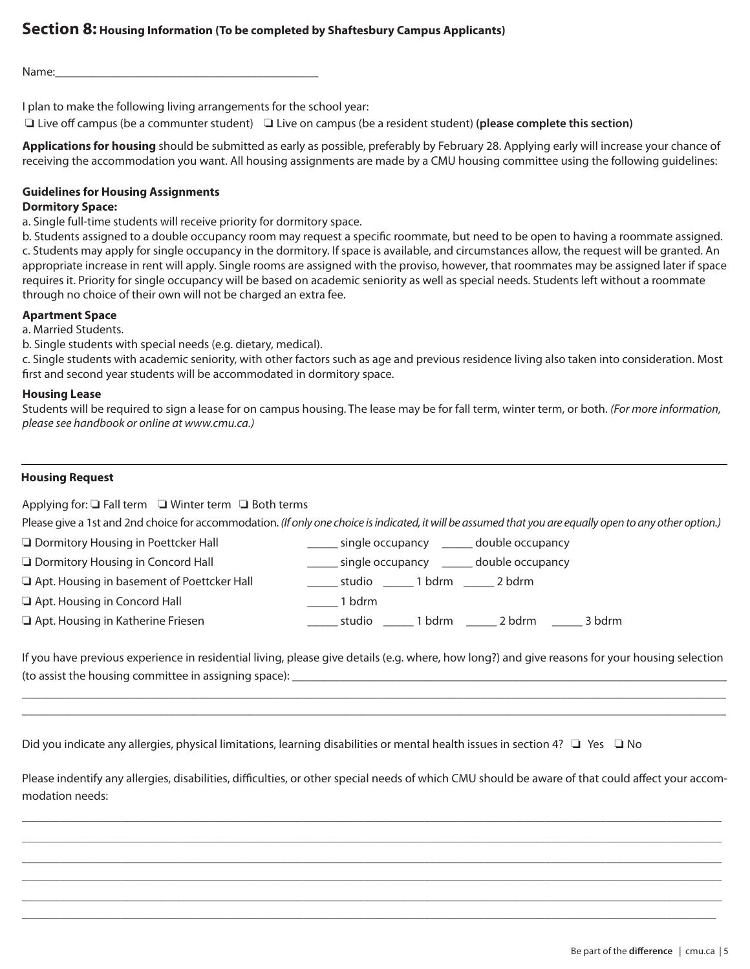Name:

I plan to make the following living arrangements for the school year:

 $\Box$  Live off campus (be a communter student)  $\Box$  Live on campus (be a resident student) (please complete this section)

**Applications for housing** should be submitted as early as possible, preferably by February 28. Applying early will increase your chance of receiving the accommodation you want. All housing assignments are made by a CMU housing committee using the following guidelines:

### **Guidelines for Housing Assignments**

#### **Dormitory Space:**

a. Single full-time students will receive priority for dormitory space.

b. Students assigned to a double occupancy room may request a specific roommate, but need to be open to having a roommate assigned. c. Students may apply for single occupancy in the dormitory. If space is available, and circumstances allow, the request will be granted. An appropriate increase in rent will apply. Single rooms are assigned with the proviso, however, that roommates may be assigned later if space requires it. Priority for single occupancy will be based on academic seniority as well as special needs. Students left without a roommate through no choice of their own will not be charged an extra fee.

### **Apartment Space**

a. Married Students.

b. Single students with special needs (e.g. dietary, medical).

c. Single students with academic seniority, with other factors such as age and previous residence living also taken into consideration. Most first and second year students will be accommodated in dormitory space.

#### **Housing Lease**

Students will be required to sign a lease for on campus housing. The lease may be for fall term, winter term, or both. *(For more information, please see handbook or online at www.cmu.ca.)*

### **Housing Request**

Applying for:  $\Box$  Fall term  $\Box$  Winter term  $\Box$  Both terms

Please give a 1st and 2nd choice for accommodation. *(If only one choice is indicated, it will be assumed that you are equally open to any other option.)*

**O** Dormitory Housing in Poettcker Hall **Example 20 COVER 10** single occupancy **EXALL** double occupancy

**O** Dormitory Housing in Concord Hall **Exercise 20 CO** single occupancy **CO** double occupancy

o Apt. Housing in basement of Poettcker Hall \_\_\_\_\_ studio \_\_\_\_\_ 1 bdrm \_\_\_\_\_ 2 bdrm

**a** Apt. Housing in Concord Hall **Example 2** 1 bdrm

o Apt. Housing in Katherine Friesen \_\_\_\_\_ studio \_\_\_\_\_ 1 bdrm \_\_\_\_\_ 2 bdrm \_\_\_\_\_ 3 bdrm

If you have previous experience in residential living, please give details (e.g. where, how long?) and give reasons for your housing selection (to assist the housing committee in assigning space):  $\frac{1}{2}$ 

\_\_\_\_\_\_\_\_\_\_\_\_\_\_\_\_\_\_\_\_\_\_\_\_\_\_\_\_\_\_\_\_\_\_\_\_\_\_\_\_\_\_\_\_\_\_\_\_\_\_\_\_\_\_\_\_\_\_\_\_\_\_\_\_\_\_\_\_\_\_\_\_\_\_\_\_\_\_\_\_\_\_\_\_\_\_\_\_\_\_\_\_\_\_\_\_\_\_\_\_\_\_\_\_\_\_\_\_\_\_\_\_\_\_\_ \_\_\_\_\_\_\_\_\_\_\_\_\_\_\_\_\_\_\_\_\_\_\_\_\_\_\_\_\_\_\_\_\_\_\_\_\_\_\_\_\_\_\_\_\_\_\_\_\_\_\_\_\_\_\_\_\_\_\_\_\_\_\_\_\_\_\_\_\_\_\_\_\_\_\_\_\_\_\_\_\_\_\_\_\_\_\_\_\_\_\_\_\_\_\_\_\_\_\_\_\_\_\_\_\_\_\_\_\_\_\_\_\_\_\_

Did you indicate any allergies, physical limitations, learning disabilities or mental health issues in section 4?  $\Box$  Yes  $\Box$  No

Please indentify any allergies, disabilities, difficulties, or other special needs of which CMU should be aware of that could affect your accommodation needs:

\_\_\_\_\_\_\_\_\_\_\_\_\_\_\_\_\_\_\_\_\_\_\_\_\_\_\_\_\_\_\_\_\_\_\_\_\_\_\_\_\_\_\_\_\_\_\_\_\_\_\_\_\_\_\_\_\_\_\_\_\_\_\_\_\_\_\_\_\_\_\_\_\_\_\_\_\_\_\_\_\_\_\_\_\_\_\_\_\_\_\_\_\_\_\_\_\_\_\_\_\_\_\_\_\_\_\_\_\_\_\_\_\_\_\_\_\_\_\_\_\_\_\_\_\_\_\_ \_\_\_\_\_\_\_\_\_\_\_\_\_\_\_\_\_\_\_\_\_\_\_\_\_\_\_\_\_\_\_\_\_\_\_\_\_\_\_\_\_\_\_\_\_\_\_\_\_\_\_\_\_\_\_\_\_\_\_\_\_\_\_\_\_\_\_\_\_\_\_\_\_\_\_\_\_\_\_\_\_\_\_\_\_\_\_\_\_\_\_\_\_\_\_\_\_\_\_\_\_\_\_\_\_\_\_\_\_\_\_\_\_\_\_\_\_\_\_\_\_\_\_\_\_\_\_ \_\_\_\_\_\_\_\_\_\_\_\_\_\_\_\_\_\_\_\_\_\_\_\_\_\_\_\_\_\_\_\_\_\_\_\_\_\_\_\_\_\_\_\_\_\_\_\_\_\_\_\_\_\_\_\_\_\_\_\_\_\_\_\_\_\_\_\_\_\_\_\_\_\_\_\_\_\_\_\_\_\_\_\_\_\_\_\_\_\_\_\_\_\_\_\_\_\_\_\_\_\_\_\_\_\_\_\_\_\_\_\_\_\_\_\_\_\_\_\_\_\_\_\_\_\_\_ \_\_\_\_\_\_\_\_\_\_\_\_\_\_\_\_\_\_\_\_\_\_\_\_\_\_\_\_\_\_\_\_\_\_\_\_\_\_\_\_\_\_\_\_\_\_\_\_\_\_\_\_\_\_\_\_\_\_\_\_\_\_\_\_\_\_\_\_\_\_\_\_\_\_\_\_\_\_\_\_\_\_\_\_\_\_\_\_\_\_\_\_\_\_\_\_\_\_\_\_\_\_\_\_\_\_\_\_\_\_\_\_\_\_\_\_\_\_\_\_\_\_\_\_\_\_\_ \_\_\_\_\_\_\_\_\_\_\_\_\_\_\_\_\_\_\_\_\_\_\_\_\_\_\_\_\_\_\_\_\_\_\_\_\_\_\_\_\_\_\_\_\_\_\_\_\_\_\_\_\_\_\_\_\_\_\_\_\_\_\_\_\_\_\_\_\_\_\_\_\_\_\_\_\_\_\_\_\_\_\_\_\_\_\_\_\_\_\_\_\_\_\_\_\_\_\_\_\_\_\_\_\_\_\_\_\_\_\_\_\_\_\_\_\_\_\_\_\_\_\_\_\_\_\_  $\Box \Box \Box \Box \Box \Box \Box \Box$  . The set of the set of the set of the set of the set of the set of the set of the set of the set of the set of the set of the set of the set of the set of the set of the set of the set of the set of th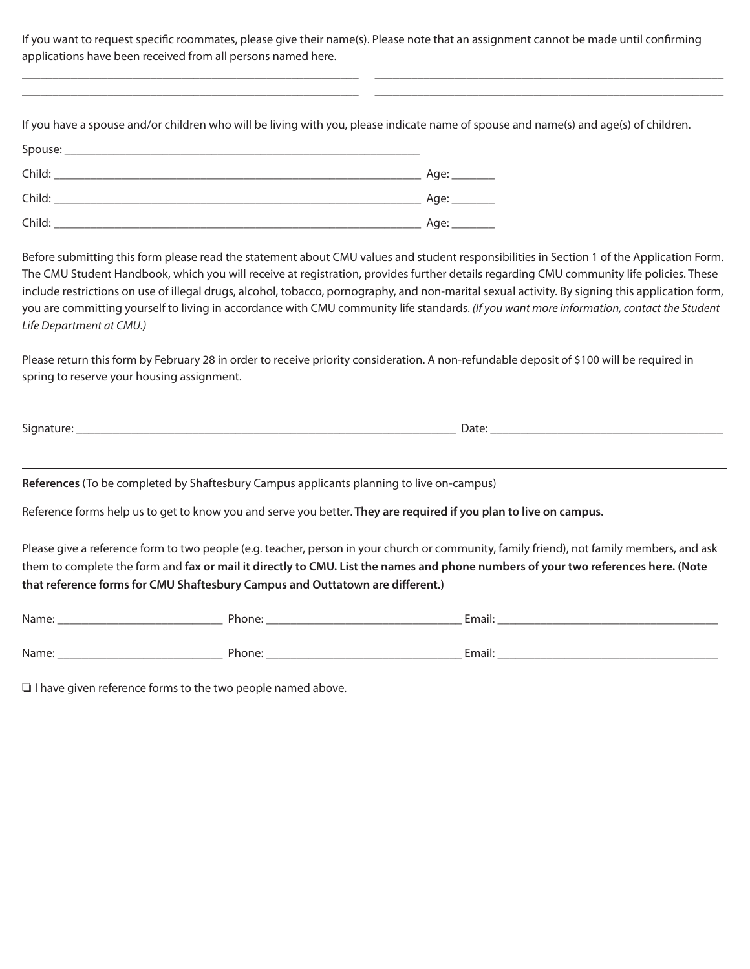If you want to request specific roommates, please give their name(s). Please note that an assignment cannot be made until confirming applications have been received from all persons named here.

\_\_\_\_\_\_\_\_\_\_\_\_\_\_\_\_\_\_\_\_\_\_\_\_\_\_\_\_\_\_\_\_\_\_\_\_\_\_\_\_\_\_\_\_\_\_\_\_\_\_\_\_\_\_\_ \_\_\_\_\_\_\_\_\_\_\_\_\_\_\_\_\_\_\_\_\_\_\_\_\_\_\_\_\_\_\_\_\_\_\_\_\_\_\_\_\_\_\_\_\_\_\_\_\_\_\_\_\_\_\_\_\_ \_\_\_\_\_\_\_\_\_\_\_\_\_\_\_\_\_\_\_\_\_\_\_\_\_\_\_\_\_\_\_\_\_\_\_\_\_\_\_\_\_\_\_\_\_\_\_\_\_\_\_\_\_\_\_ \_\_\_\_\_\_\_\_\_\_\_\_\_\_\_\_\_\_\_\_\_\_\_\_\_\_\_\_\_\_\_\_\_\_\_\_\_\_\_\_\_\_\_\_\_\_\_\_\_\_\_\_\_\_\_\_\_

If you have a spouse and/or children who will be living with you, please indicate name of spouse and name(s) and age(s) of children. Spouse: Child: \_\_\_\_\_\_\_\_\_\_\_\_\_\_\_\_\_\_\_\_\_\_\_\_\_\_\_\_\_\_\_\_\_\_\_\_\_\_\_\_\_\_\_\_\_\_\_\_\_\_\_\_\_\_\_\_\_\_\_\_ Age: \_\_\_\_\_\_\_ Child: \_\_\_\_\_\_\_\_\_\_\_\_\_\_\_\_\_\_\_\_\_\_\_\_\_\_\_\_\_\_\_\_\_\_\_\_\_\_\_\_\_\_\_\_\_\_\_\_\_\_\_\_\_\_\_\_\_\_\_\_ Age: \_\_\_\_\_\_\_ Child: \_\_\_\_\_\_\_\_\_\_\_\_\_\_\_\_\_\_\_\_\_\_\_\_\_\_\_\_\_\_\_\_\_\_\_\_\_\_\_\_\_\_\_\_\_\_\_\_\_\_\_\_\_\_\_\_\_\_\_\_ Age: \_\_\_\_\_\_\_

Before submitting this form please read the statement about CMU values and student responsibilities in Section 1 of the Application Form. The CMU Student Handbook, which you will receive at registration, provides further details regarding CMU community life policies. These include restrictions on use of illegal drugs, alcohol, tobacco, pornography, and non-marital sexual activity. By signing this application form, you are committing yourself to living in accordance with CMU community life standards. *(If you want more information, contact the Student Life Department at CMU.)*

Please return this form by February 28 in order to receive priority consideration. A non-refundable deposit of \$100 will be required in spring to reserve your housing assignment.

Signature: \_\_\_\_\_\_\_\_\_\_\_\_\_\_\_\_\_\_\_\_\_\_\_\_\_\_\_\_\_\_\_\_\_\_\_\_\_\_\_\_\_\_\_\_\_\_\_\_\_\_\_\_\_\_\_\_\_\_\_\_\_\_ Date: \_\_\_\_\_\_\_\_\_\_\_\_\_\_\_\_\_\_\_\_\_\_\_\_\_\_\_\_\_\_\_\_\_\_\_\_\_\_

**References** (To be completed by Shaftesbury Campus applicants planning to live on-campus)

Reference forms help us to get to know you and serve you better. **They are required if you plan to live on campus.**

Please give a reference form to two people (e.g. teacher, person in your church or community, family friend), not family members, and ask them to complete the form and **fax or mail it directly to CMU. List the names and phone numbers of your two references here. (Note that reference forms for CMU Shaftesbury Campus and Outtatown are different.)**

| Name: | Phone: | Email: |
|-------|--------|--------|
|       |        |        |
| Name: | Phone: | Email: |

 $\Box$  I have given reference forms to the two people named above.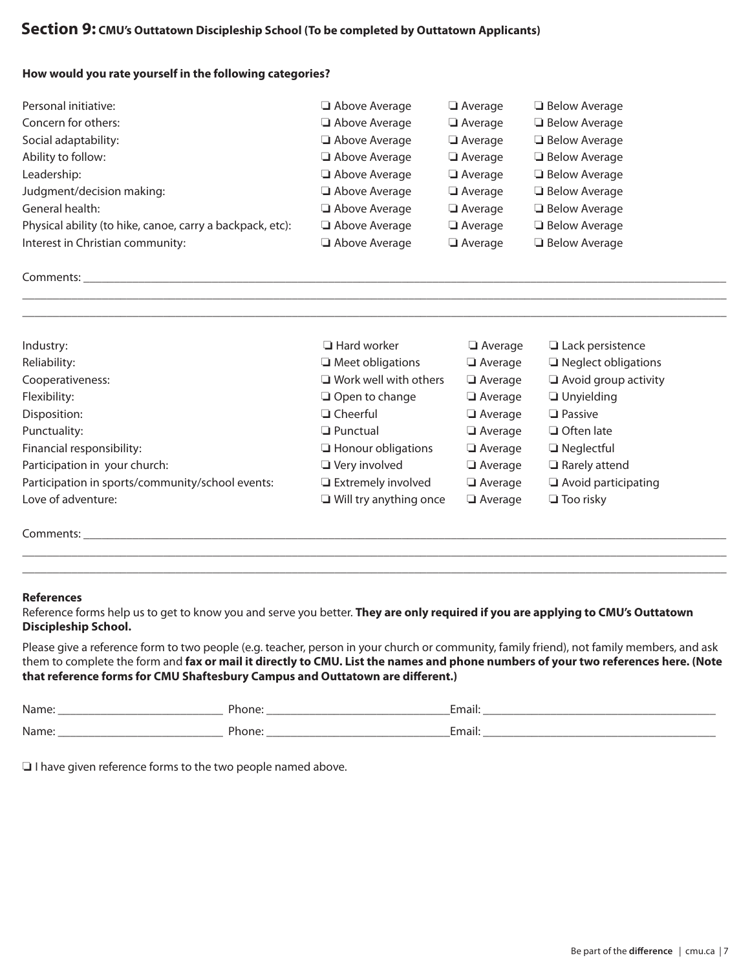# **Section 9: CMU's Outtatown Discipleship School (To be completed by Outtatown Applicants)**

#### **How would you rate yourself in the following categories?**

| Personal initiative:                                      | Above Average | Average        | <b>Below Average</b> |
|-----------------------------------------------------------|---------------|----------------|----------------------|
| Concern for others:                                       | Above Average | Average        | <b>Below Average</b> |
| Social adaptability:                                      | Above Average | Average        | <b>Below Average</b> |
| Ability to follow:                                        | Above Average | $\Box$ Average | <b>Below Average</b> |
| Leadership:                                               | Above Average | $\Box$ Average | <b>Below Average</b> |
| Judgment/decision making:                                 | Above Average | Average        | <b>Below Average</b> |
| General health:                                           | Above Average | Average        | <b>Below Average</b> |
| Physical ability (to hike, canoe, carry a backpack, etc): | Above Average | Average        | <b>Below Average</b> |
| Interest in Christian community:                          | Above Average | Average        | $\Box$ Below Average |

### Comments:  $\blacksquare$

| Industry:                                        | $\Box$ Hard worker            | $\Box$ Average | $\Box$ Lack persistence     |
|--------------------------------------------------|-------------------------------|----------------|-----------------------------|
| Reliability:                                     | $\Box$ Meet obligations       | $\Box$ Average | $\Box$ Neglect obligations  |
| Cooperativeness:                                 | $\Box$ Work well with others  | $\Box$ Average | $\Box$ Avoid group activity |
| Flexibility:                                     | $\Box$ Open to change         | $\Box$ Average | $\Box$ Unyielding           |
| Disposition:                                     | $\Box$ Cheerful               | Average        | $\Box$ Passive              |
| Punctuality:                                     | $\Box$ Punctual               | $\Box$ Average | $\Box$ Often late           |
| Financial responsibility:                        | $\Box$ Honour obligations     | $\Box$ Average | $\Box$ Neglectful           |
| Participation in your church:                    | $\Box$ Very involved          | $\Box$ Average | $\Box$ Rarely attend        |
| Participation in sports/community/school events: | $\Box$ Extremely involved     | $\Box$ Average | $\Box$ Avoid participating  |
| Love of adventure:                               | $\Box$ Will try anything once | $\Box$ Average | $\Box$ Too risky            |
|                                                  |                               |                |                             |

\_\_\_\_\_\_\_\_\_\_\_\_\_\_\_\_\_\_\_\_\_\_\_\_\_\_\_\_\_\_\_\_\_\_\_\_\_\_\_\_\_\_\_\_\_\_\_\_\_\_\_\_\_\_\_\_\_\_\_\_\_\_\_\_\_\_\_\_\_\_\_\_\_\_\_\_\_\_\_\_\_\_\_\_\_\_\_\_\_\_\_\_\_\_\_\_\_\_\_\_\_\_\_\_\_\_\_\_\_\_\_\_\_\_\_ \_\_\_\_\_\_\_\_\_\_\_\_\_\_\_\_\_\_\_\_\_\_\_\_\_\_\_\_\_\_\_\_\_\_\_\_\_\_\_\_\_\_\_\_\_\_\_\_\_\_\_\_\_\_\_\_\_\_\_\_\_\_\_\_\_\_\_\_\_\_\_\_\_\_\_\_\_\_\_\_\_\_\_\_\_\_\_\_\_\_\_\_\_\_\_\_\_\_\_\_\_\_\_\_\_\_\_\_\_\_\_\_\_\_\_

Comments:  $\blacksquare$ 

### **References**

Reference forms help us to get to know you and serve you better. **They are only required if you are applying to CMU's Outtatown Discipleship School.**

Please give a reference form to two people (e.g. teacher, person in your church or community, family friend), not family members, and ask them to complete the form and **fax or mail it directly to CMU. List the names and phone numbers of your two references here. (Note that reference forms for CMU Shaftesbury Campus and Outtatown are different.)**

\_\_\_\_\_\_\_\_\_\_\_\_\_\_\_\_\_\_\_\_\_\_\_\_\_\_\_\_\_\_\_\_\_\_\_\_\_\_\_\_\_\_\_\_\_\_\_\_\_\_\_\_\_\_\_\_\_\_\_\_\_\_\_\_\_\_\_\_\_\_\_\_\_\_\_\_\_\_\_\_\_\_\_\_\_\_\_\_\_\_\_\_\_\_\_\_\_\_\_\_\_\_\_\_\_\_\_\_\_\_\_\_\_\_\_ \_\_\_\_\_\_\_\_\_\_\_\_\_\_\_\_\_\_\_\_\_\_\_\_\_\_\_\_\_\_\_\_\_\_\_\_\_\_\_\_\_\_\_\_\_\_\_\_\_\_\_\_\_\_\_\_\_\_\_\_\_\_\_\_\_\_\_\_\_\_\_\_\_\_\_\_\_\_\_\_\_\_\_\_\_\_\_\_\_\_\_\_\_\_\_\_\_\_\_\_\_\_\_\_\_\_\_\_\_\_\_\_\_\_\_

| Name. | יים -<br>$-1$<br>none: | $\overline{\phantom{a}}$<br>$-$<br>EIIIdii. |
|-------|------------------------|---------------------------------------------|
| Name. | 51.<br>- -- -<br>none: | $\overline{\phantom{a}}$<br>$-$<br>Email:   |

 $\Box$  I have given reference forms to the two people named above.